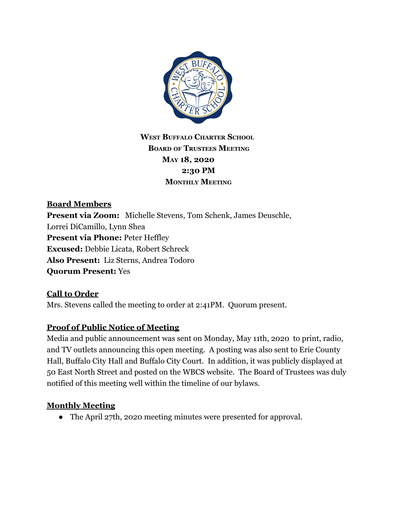

## **WEST BUFFALO CHARTER SCHOOL BOARD OF TRUSTEES MEETING MAY 18, 2020 2:30 PM MONTHLY MEETING**

## **Board Members Present via Zoom:** Michelle Stevens, Tom Schenk, James Deuschle, Lorrei DiCamillo, Lynn Shea **Present via Phone: Peter Heffley Excused:** Debbie Licata, Robert Schreck **Also Present:** Liz Sterns, Andrea Todoro **Quorum Present:** Yes

### **Call to Order**

Mrs. Stevens called the meeting to order at 2:41PM. Quorum present.

#### **Proof of Public Notice of Meeting**

Media and public announcement was sent on Monday, May 11th, 2020 to print, radio, and TV outlets announcing this open meeting. A posting was also sent to Erie County Hall, Buffalo City Hall and Buffalo City Court. In addition, it was publicly displayed at 50 East North Street and posted on the WBCS website. The Board of Trustees was duly notified of this meeting well within the timeline of our bylaws.

#### **Monthly Meeting**

• The April 27th, 2020 meeting minutes were presented for approval.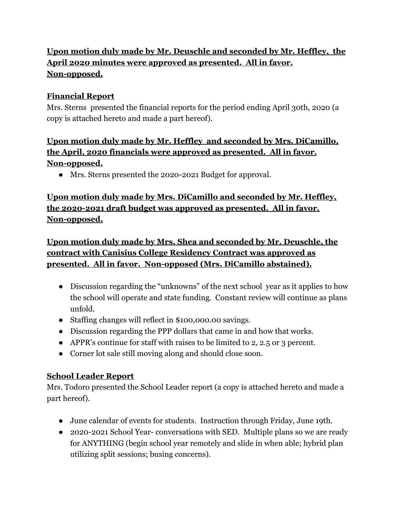# **Upon motion duly made by Mr. Deuschle and seconded by Mr. Heffley, the April 2020 minutes were approved as presented. All in favor. Non-opposed.**

#### **Financial Report**

Mrs. Sterns presented the financial reports for the period ending April 30th, 2020 (a copy is attached hereto and made a part hereof).

## **Upon motion duly made by Mr. Heffley and seconded by Mrs. DiCamillo, the April, 2020 financials were approved as presented. All in favor. Non-opposed.**

● Mrs. Sterns presented the 2020-2021 Budget for approval.

## **Upon motion duly made by Mrs. DiCamillo and seconded by Mr. Heffley, the 2020-2021 draft budget was approved as presented. All in favor. Non-opposed.**

**Upon motion duly made by Mrs. Shea and seconded by Mr. Deuschle, the contract with Canisius College Residency Contract was approved as presented. All in favor. Non-opposed (Mrs. DiCamillo abstained).**

- Discussion regarding the "unknowns" of the next school year as it applies to how the school will operate and state funding. Constant review will continue as plans unfold.
- Staffing changes will reflect in \$100,000.00 savings.
- Discussion regarding the PPP dollars that came in and how that works.
- APPR's continue for staff with raises to be limited to 2, 2.5 or 3 percent.
- Corner lot sale still moving along and should close soon.

## **School Leader Report**

Mrs. Todoro presented the School Leader report (a copy is attached hereto and made a part hereof).

- June calendar of events for students. Instruction through Friday, June 19th.
- 2020-2021 School Year- conversations with SED. Multiple plans so we are ready for ANYTHING (begin school year remotely and slide in when able; hybrid plan utilizing split sessions; busing concerns).